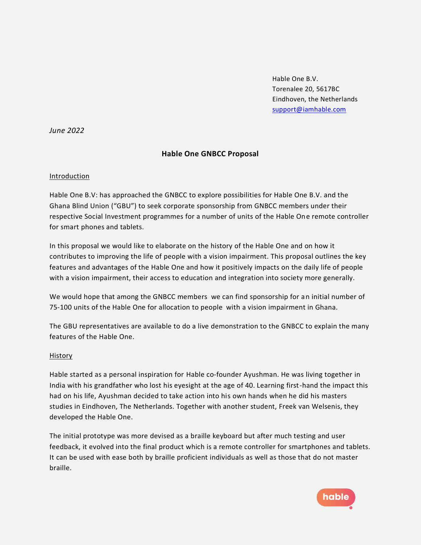Hable One B.V. Torenalee 20, 5617BC Eindhoven, the Netherlands [support@iamhable.com](mailto:support@iamhable.com)

*June 2022*

# **Hable One GNBCC Proposal**

### Introduction

Hable One B.V: has approached the GNBCC to explore possibilities for Hable One B.V. and the Ghana Blind Union ("GBU") to seek corporate sponsorship from GNBCC members under their respective Social Investment programmes for a number of units of the Hable One remote controller for smart phones and tablets.

In this proposal we would like to elaborate on the history of the Hable One and on how it contributes to improving the life of people with a vision impairment. This proposal outlines the key features and advantages of the Hable One and how it positively impacts on the daily life of people with a vision impairment, their access to education and integration into society more generally.

We would hope that among the GNBCC members we can find sponsorship for an initial number of 75-100 units of the Hable One for allocation to people with a vision impairment in Ghana.

The GBU representatives are available to do a live demonstration to the GNBCC to explain the many features of the Hable One.

### History

Hable started as a personal inspiration for Hable co-founder Ayushman. He was living together in India with his grandfather who lost his eyesight at the age of 40. Learning first-hand the impact this had on his life, Ayushman decided to take action into his own hands when he did his masters studies in Eindhoven, The Netherlands. Together with another student, Freek van Welsenis, they developed the Hable One.

The initial prototype was more devised as a braille keyboard but after much testing and user feedback, it evolved into the final product which is a remote controller for smartphones and tablets. It can be used with ease both by braille proficient individuals as well as those that do not master braille.

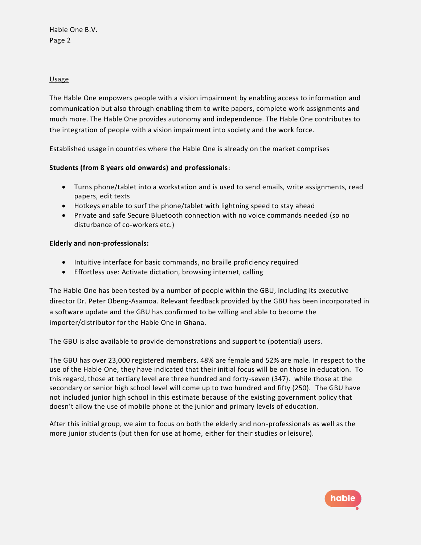## Usage

The Hable One empowers people with a vision impairment by enabling access to information and communication but also through enabling them to write papers, complete work assignments and much more. The Hable One provides autonomy and independence. The Hable One contributes to the integration of people with a vision impairment into society and the work force.

Established usage in countries where the Hable One is already on the market comprises

# **Students (from 8 years old onwards) and professionals**:

- Turns phone/tablet into a workstation and is used to send emails, write assignments, read papers, edit texts
- Hotkeys enable to surf the phone/tablet with lightning speed to stay ahead
- Private and safe Secure Bluetooth connection with no voice commands needed (so no disturbance of co-workers etc.)

### **Elderly and non-professionals:**

- Intuitive interface for basic commands, no braille proficiency required
- Effortless use: Activate dictation, browsing internet, calling

The Hable One has been tested by a number of people within the GBU, including its executive director Dr. Peter Obeng-Asamoa. Relevant feedback provided by the GBU has been incorporated in a software update and the GBU has confirmed to be willing and able to become the importer/distributor for the Hable One in Ghana.

The GBU is also available to provide demonstrations and support to (potential) users.

The GBU has over 23,000 registered members. 48% are female and 52% are male. In respect to the use of the Hable One, they have indicated that their initial focus will be on those in education. To this regard, those at tertiary level are three hundred and forty-seven (347). while those at the secondary or senior high school level will come up to two hundred and fifty (250). The GBU have not included junior high school in this estimate because of the existing government policy that doesn't allow the use of mobile phone at the junior and primary levels of education.

After this initial group, we aim to focus on both the elderly and non-professionals as well as the more junior students (but then for use at home, either for their studies or leisure).

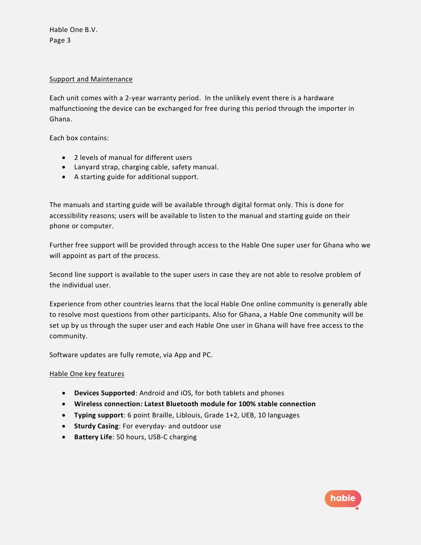Hable One B.V. Page 3

### Support and Maintenance

Each unit comes with a 2-year warranty period. In the unlikely event there is a hardware malfunctioning the device can be exchanged for free during this period through the importer in Ghana.

Each box contains:

- 2 levels of manual for different users
- Lanyard strap, charging cable, safety manual.
- A starting guide for additional support.

The manuals and starting guide will be available through digital format only. This is done for accessibility reasons; users will be available to listen to the manual and starting guide on their phone or computer.

Further free support will be provided through access to the Hable One super user for Ghana who we will appoint as part of the process.

Second line support is available to the super users in case they are not able to resolve problem of the individual user.

Experience from other countries learns that the local Hable One online community is generally able to resolve most questions from other participants. Also for Ghana, a Hable One community will be set up by us through the super user and each Hable One user in Ghana will have free access to the community.

Software updates are fully remote, via App and PC.

### Hable One key features

- **Devices Supported**: Android and iOS, for both tablets and phones
- **Wireless connection: Latest Bluetooth module for 100% stable connection**
- **Typing support**: 6 point Braille, Liblouis, Grade 1+2, UEB, 10 languages
- **Sturdy Casing**: For everyday- and outdoor use
- **Battery Life**: 50 hours, USB-C charging